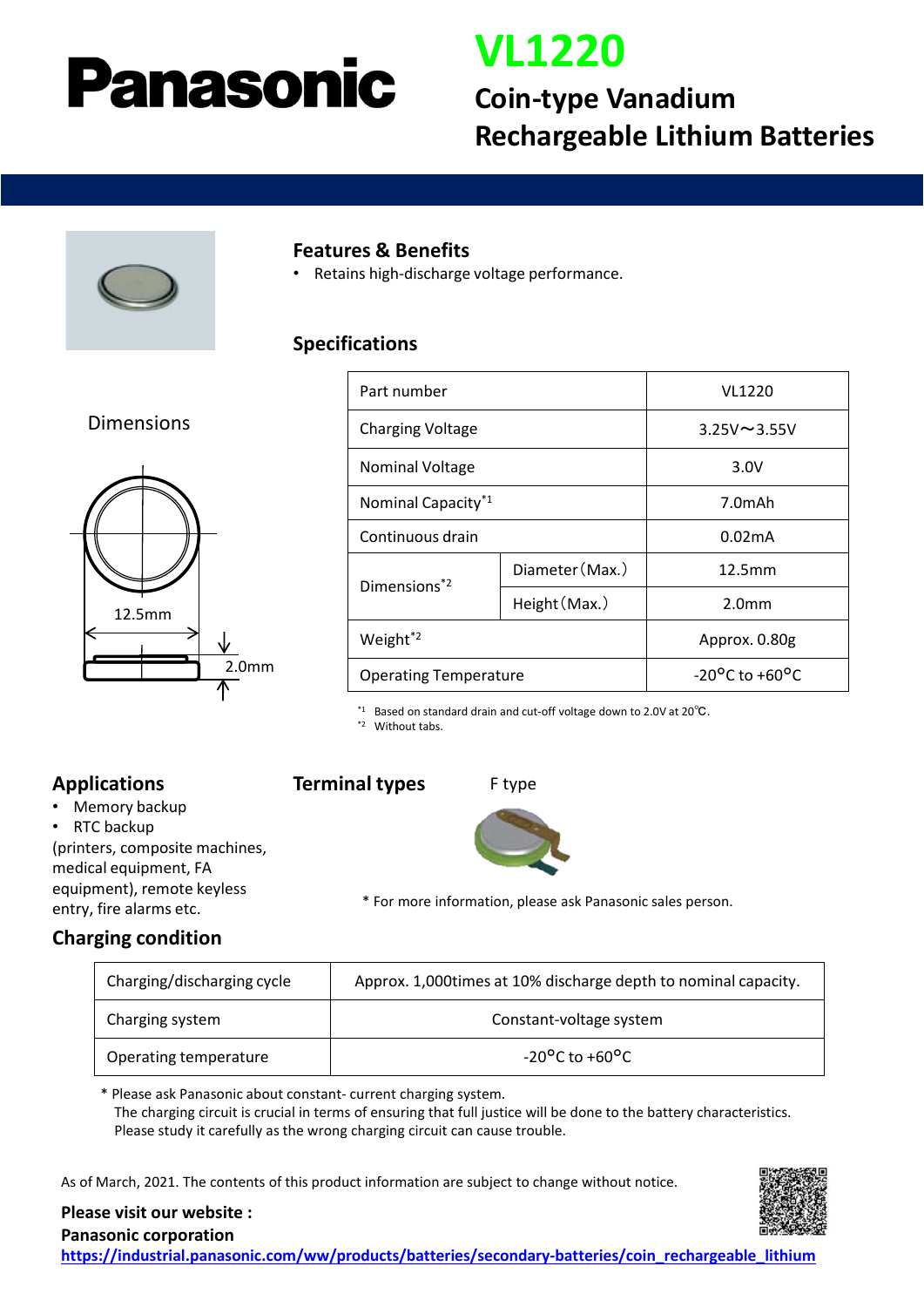# **Panasonic**

### **VL1220**

### **Coin-type Vanadium Rechargeable Lithium Batteries**



#### **Features & Benefits**

• Retains high-discharge voltage performance.

#### **Specifications**

#### Dimensions



| Part number                    |                 | <b>VL1220</b>                      |
|--------------------------------|-----------------|------------------------------------|
| <b>Charging Voltage</b>        |                 | $3.25V \sim 3.55V$                 |
| <b>Nominal Voltage</b>         |                 | 3.0V                               |
| Nominal Capacity <sup>*1</sup> |                 | 7.0mAh                             |
| Continuous drain               |                 | 0.02 <sub>m</sub> A                |
| Dimensions <sup>*2</sup>       | Diameter (Max.) | 12.5mm                             |
|                                | Height (Max.)   | 2.0 <sub>mm</sub>                  |
| Weight <sup>*2</sup>           |                 | Approx. 0.80g                      |
| <b>Operating Temperature</b>   |                 | $-20^{\circ}$ C to $+60^{\circ}$ C |

\*1 Based on standard drain and cut-off voltage down to 2.0V at 20℃.

\*2 Without tabs.

#### **Applications**

• Memory backup

RTC backup (printers, composite machines, medical equipment, FA

equipment), remote keyless entry, fire alarms etc.

#### **Terminal types**





\* For more information, please ask Panasonic sales person.

#### **Charging condition**

| Charging/discharging cycle | Approx. 1,000 times at 10% discharge depth to nominal capacity. |  |
|----------------------------|-----------------------------------------------------------------|--|
| Charging system            | Constant-voltage system                                         |  |
| Operating temperature      | $-20^{\circ}$ C to $+60^{\circ}$ C                              |  |

\* Please ask Panasonic about constant- current charging system. The charging circuit is crucial in terms of ensuring that full justice will be done to the battery characteristics. Please study it carefully as the wrong charging circuit can cause trouble.

As of March, 2021. The contents of this product information are subject to change without notice.



**Please visit our website :**

**Panasonic corporation [https://industrial.panasonic.com/ww/products/batteries/secondary-batteries/coin\\_rechargeable\\_lithium](https://industrial.panasonic.com/ww/products/batteries/secondary-batteries/coin_rechargeable_lithium)**